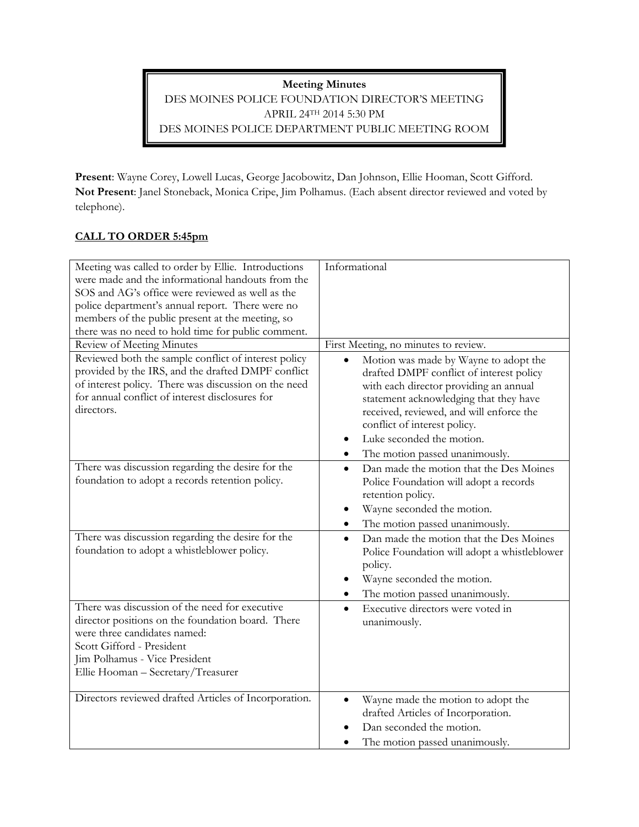**Meeting Minutes** DES MOINES POLICE FOUNDATION DIRECTOR'S MEETING APRIL 24TH 2014 5:30 PM DES MOINES POLICE DEPARTMENT PUBLIC MEETING ROOM

**Present**: Wayne Corey, Lowell Lucas, George Jacobowitz, Dan Johnson, Ellie Hooman, Scott Gifford. **Not Present**: Janel Stoneback, Monica Cripe, Jim Polhamus. (Each absent director reviewed and voted by telephone).

## **CALL TO ORDER 5:45pm**

| Meeting was called to order by Ellie. Introductions   | Informational                                        |
|-------------------------------------------------------|------------------------------------------------------|
| were made and the informational handouts from the     |                                                      |
| SOS and AG's office were reviewed as well as the      |                                                      |
| police department's annual report. There were no      |                                                      |
| members of the public present at the meeting, so      |                                                      |
| there was no need to hold time for public comment.    |                                                      |
| Review of Meeting Minutes                             | First Meeting, no minutes to review.                 |
| Reviewed both the sample conflict of interest policy  | Motion was made by Wayne to adopt the                |
| provided by the IRS, and the drafted DMPF conflict    | drafted DMPF conflict of interest policy             |
| of interest policy. There was discussion on the need  | with each director providing an annual               |
| for annual conflict of interest disclosures for       | statement acknowledging that they have               |
| directors.                                            | received, reviewed, and will enforce the             |
|                                                       | conflict of interest policy.                         |
|                                                       | Luke seconded the motion.<br>$\bullet$               |
|                                                       | The motion passed unanimously.<br>٠                  |
| There was discussion regarding the desire for the     | Dan made the motion that the Des Moines<br>$\bullet$ |
| foundation to adopt a records retention policy.       | Police Foundation will adopt a records               |
|                                                       | retention policy.                                    |
|                                                       | Wayne seconded the motion.                           |
|                                                       | The motion passed unanimously.<br>$\bullet$          |
| There was discussion regarding the desire for the     | Dan made the motion that the Des Moines<br>$\bullet$ |
| foundation to adopt a whistleblower policy.           | Police Foundation will adopt a whistleblower         |
|                                                       | policy.                                              |
|                                                       | Wayne seconded the motion.<br>٠                      |
|                                                       | The motion passed unanimously.                       |
| There was discussion of the need for executive        | Executive directors were voted in<br>$\bullet$       |
| director positions on the foundation board. There     | unanimously.                                         |
| were three candidates named:                          |                                                      |
| Scott Gifford - President                             |                                                      |
| Jim Polhamus - Vice President                         |                                                      |
| Ellie Hooman - Secretary/Treasurer                    |                                                      |
|                                                       |                                                      |
| Directors reviewed drafted Articles of Incorporation. | Wayne made the motion to adopt the<br>$\bullet$      |
|                                                       | drafted Articles of Incorporation.                   |
|                                                       | Dan seconded the motion.                             |
|                                                       | The motion passed unanimously.                       |